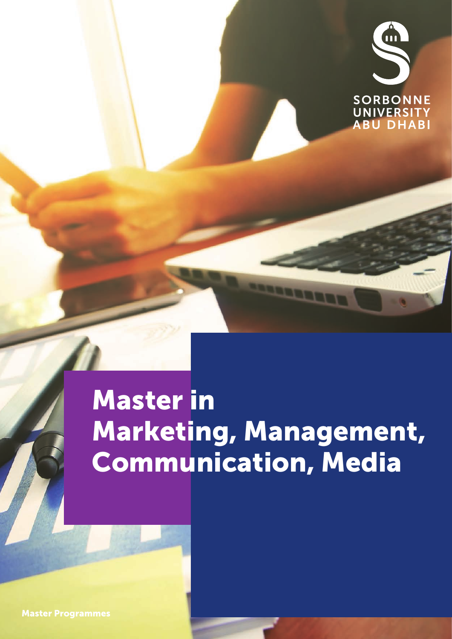

## Master in Marketing, Management, Communication, Media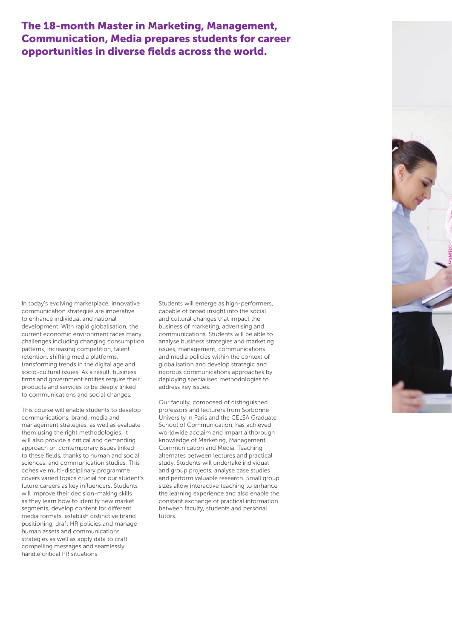### The 18-month Master in Marketing, Management, Communication, Media prepares students for career opportunities in diverse fields across the world.

In today's evolving marketplace, innovative communication strategies are imperative to enhance individual and national development. With rapid globalisation, the current economic environment faces many challenges including changing consumption patterns, increasing competition, talent retention, shifting media platforms, transforming trends in the digital age and socio-cultural issues. As a result, business firms and government entities require their products and services to be deeply linked to communications and social changes.

This course will enable students to develop communications, brand, media and management strategies, as well as evaluate them using the right methodologies. It will also provide a critical and demanding approach on contemporary issues linked to these fields, thanks to human and social sciences, and communication studies. This cohesive multi-disciplinary programme covers varied topics crucial for our student's future careers as key influencers. Students will improve their decision-making skills as they learn how to identify new market segments, develop content for different media formats, establish distinctive brand positioning, draft HR policies and manage human assets and communications strategies as well as apply data to craft compelling messages and seamlessly handle critical PR situations.

Students will emerge as high-performers, capable of broad insight into the social and cultural changes that impact the business of marketing, advertising and communications. Students will be able to analyse business strategies and marketing issues, management, communications and media policies within the context of globalisation and develop strategic and rigorous communications approaches by deploying specialised methodologies to address key issues.

Our faculty, composed of distinguished professors and lecturers from Sorbonne University in Paris and the CELSA Graduate School of Communication, has achieved worldwide acclaim and impart a thorough knowledge of Marketing, Management, Communication and Media. Teaching alternates between lectures and practical study. Students will undertake individual and group projects, analyse case studies and perform valuable research. Small group sizes allow interactive teaching to enhance the learning experience and also enable the constant exchange of practical information between faculty, students and personal tutors.

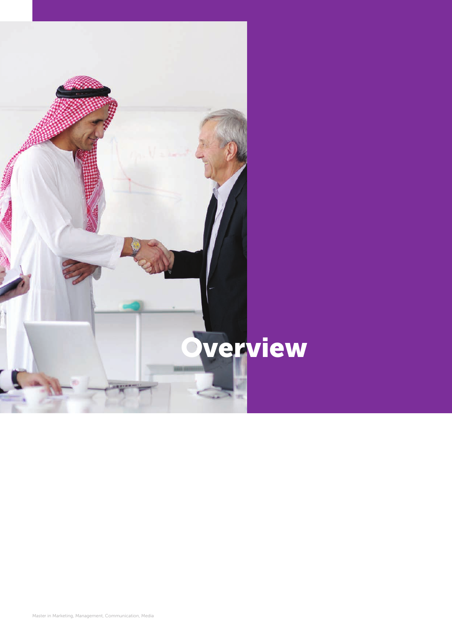

Master in Marketing, Management, Communication, Media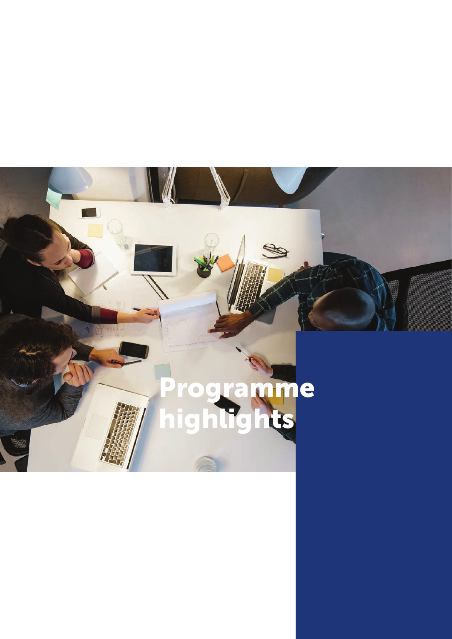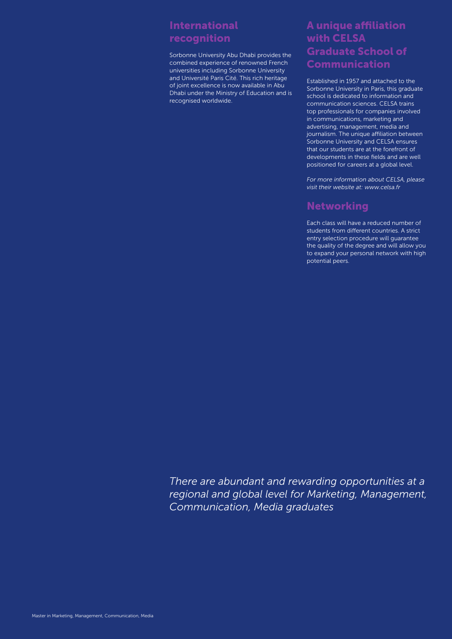## International recognition

Sorbonne University Abu Dhabi provides the combined experience of renowned French universities including Sorbonne University and Université Paris Cité. This rich heritage of joint excellence is now available in Abu Dhabi under the Ministry of Education and is recognised worldwide.

### A unique affiliation with CELSA Graduate School of Communication

Established in 1957 and attached to the Sorbonne University in Paris, this graduate school is dedicated to information and communication sciences. CELSA trains top professionals for companies involved in communications, marketing and advertising, management, media and journalism. The unique affiliation between Sorbonne University and CELSA ensures that our students are at the forefront of developments in these fields and are well positioned for careers at a global level.

*For more information about CELSA, please visit their website at: www.celsa.fr* 

### **Networking**

Each class will have a reduced number of students from different countries. A strict entry selection procedure will guarantee the quality of the degree and will allow you to expand your personal network with high potential peers.

*There are abundant and rewarding opportunities at a regional and global level for Marketing, Management, Communication, Media graduates*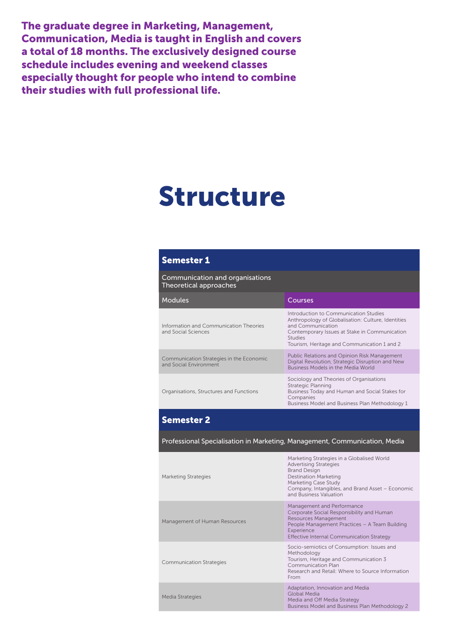The graduate degree in Marketing, Management, Communication, Media is taught in English and covers a total of 18 months. The exclusively designed course schedule includes evening and weekend classes especially thought for people who intend to combine their studies with full professional life.

## Structure

#### Semester 1

Communication and organisations Theoretical approaches

| <b>Modules</b>                                                     | Courses                                                                                                                                                                                                                            |
|--------------------------------------------------------------------|------------------------------------------------------------------------------------------------------------------------------------------------------------------------------------------------------------------------------------|
| Information and Communication Theories<br>and Social Sciences      | Introduction to Communication Studies<br>Anthropology of Globalisation: Culture, Identities<br>and Communication<br>Contemporary Issues at Stake in Communication<br><b>Studies</b><br>Tourism, Heritage and Communication 1 and 2 |
| Communication Strategies in the Economic<br>and Social Environment | Public Relations and Opinion Risk Management<br>Digital Revolution, Strategic Disruption and New<br>Business Models in the Media World                                                                                             |
| Organisations, Structures and Functions                            | Sociology and Theories of Organisations<br>Strategic Planning<br>Business Today and Human and Social Stakes for<br>Companies<br>Business Model and Business Plan Methodology 1                                                     |

#### Semester 2

Professional Specialisation in Marketing, Management, Communication, Media

Marketing Strategies in a Globalised World

| <b>Marketing Strategies</b>     | <b>Advertising Strategies</b><br><b>Brand Design</b><br>Destination Marketing<br>Marketing Case Study<br>Company, Intangibles, and Brand Asset - Economic<br>and Business Valuation                                |
|---------------------------------|--------------------------------------------------------------------------------------------------------------------------------------------------------------------------------------------------------------------|
| Management of Human Resources   | Management and Performance<br>Corporate Social Responsibility and Human<br>Resources Management<br>People Management Practices - A Team Building<br>Experience<br><b>Effective Internal Communication Strategy</b> |
| <b>Communication Strategies</b> | Socio-semiotics of Consumption: Issues and<br>Methodology<br>Tourism, Heritage and Communication 3<br>Communication Plan<br>Research and Retail: Where to Source Information<br>From                               |
| Media Strategies                | Adaptation, Innovation and Media<br>Global Media<br>Media and Off Media Strategy<br>Business Model and Business Plan Methodology 2                                                                                 |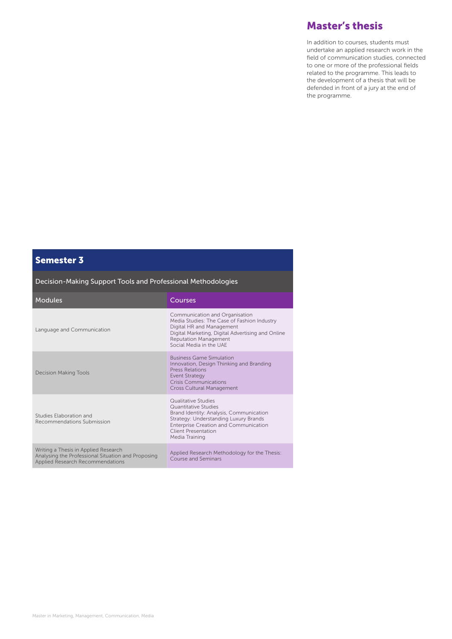### Master's thesis

In addition to courses, students must undertake an applied research work in the field of communication studies, connected to one or more of the professional fields related to the programme. This leads to the development of a thesis that will be defended in front of a jury at the end of the programme.

### Semester 3

Decision-Making Support Tools and Professional Methodologies

| <b>Modules</b>                                                                                                                 | Courses                                                                                                                                                                                                                    |
|--------------------------------------------------------------------------------------------------------------------------------|----------------------------------------------------------------------------------------------------------------------------------------------------------------------------------------------------------------------------|
| Language and Communication                                                                                                     | Communication and Organisation<br>Media Studies: The Case of Fashion Industry<br>Digital HR and Management<br>Digital Marketing, Digital Advertising and Online<br><b>Reputation Management</b><br>Social Media in the UAF |
| <b>Decision Making Tools</b>                                                                                                   | <b>Business Game Simulation</b><br>Innovation, Design Thinking and Branding<br><b>Press Relations</b><br><b>Event Strategy</b><br><b>Crisis Communications</b><br><b>Cross Cultural Management</b>                         |
| Studies Elaboration and<br>Recommendations Submission                                                                          | Qualitative Studies<br>Quantitative Studies<br>Brand Identity: Analysis, Communication<br>Strategy: Understanding Luxury Brands<br><b>Enterprise Creation and Communication</b><br>Client Presentation<br>Media Training   |
| Writing a Thesis in Applied Research<br>Analysing the Professional Situation and Proposing<br>Applied Research Recommendations | Applied Research Methodology for the Thesis:<br>Course and Seminars                                                                                                                                                        |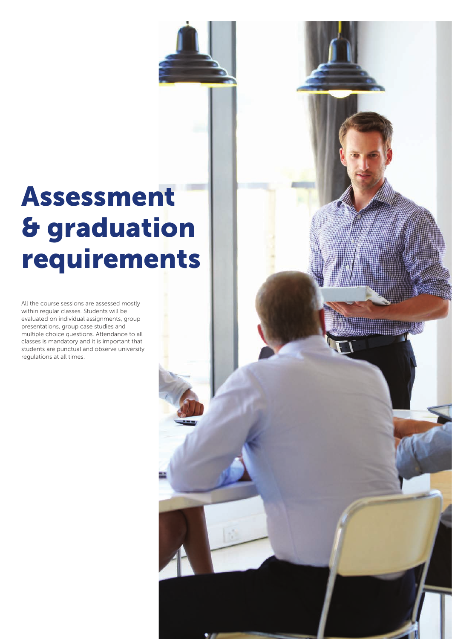## Assessment & graduation requirements

All the course sessions are assessed mostly within regular classes. Students will be evaluated on individual assignments, group presentations, group case studies and multiple choice questions. Attendance to all classes is mandatory and it is important that students are punctual and observe university regulations at all times.

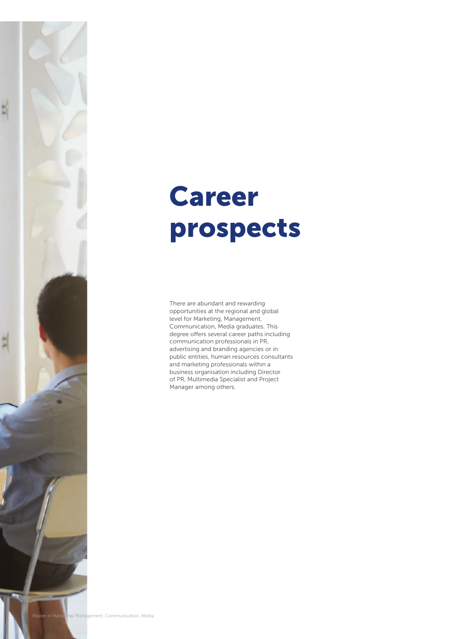

There are abundant and rewarding opportunities at the regional and global level for Marketing, Management, Communication, Media graduates. This degree offers several career paths including communication professionals in PR, advertising and branding agencies or in public entities, human resources consultants and marketing professionals within a business organisation including Director of PR, Multimedia Specialist and Project Manager among others.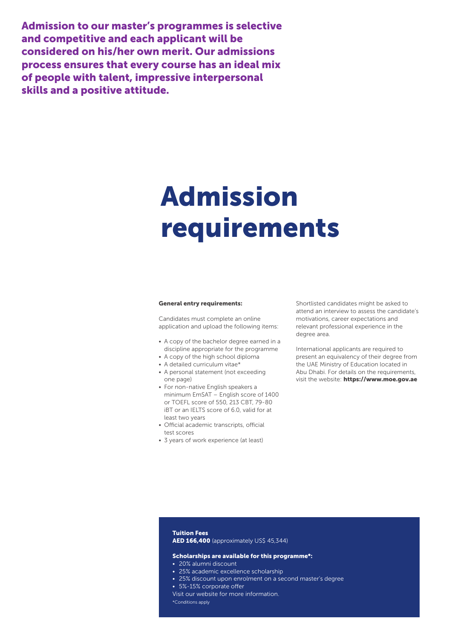Admission to our master's programmes is selective and competitive and each applicant will be considered on his/her own merit. Our admissions process ensures that every course has an ideal mix of people with talent, impressive interpersonal skills and a positive attitude.

## Admission requirements

#### General entry requirements:

Candidates must complete an online application and upload the following items:

- A copy of the bachelor degree earned in a discipline appropriate for the programme
- A copy of the high school diploma
- A detailed curriculum vitae\*
- A personal statement (not exceeding one page)
- For non-native English speakers a minimum EmSAT – English score of 1400 or TOEFL score of 550, 213 CBT, 79-80 iBT or an IELTS score of 6.0, valid for at least two years
- Official academic transcripts, official test scores
- 3 years of work experience (at least)

Shortlisted candidates might be asked to attend an interview to assess the candidate's motivations, career expectations and relevant professional experience in the degree area.

International applicants are required to present an equivalency of their degree from the UAE Ministry of Education located in Abu Dhabi. For details on the requirements, visit the website: https://www.moe.gov.ae

#### Tuition Fees AED 166,400 (approximately US\$ 45,344)

#### Scholarships are available for this programme\*:

- 20% alumni discount
- 25% academic excellence scholarship
- 25% discount upon enrolment on a second master's degree
- 5%-15% corporate offer
- Visit our website for more information. \*Conditions apply